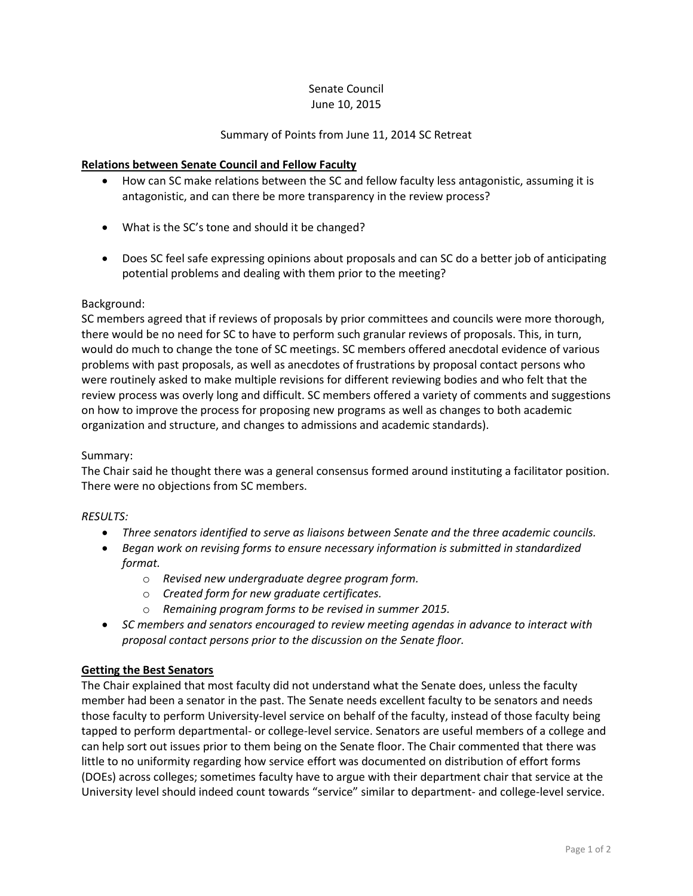#### Senate Council June 10, 2015

### Summary of Points from June 11, 2014 SC Retreat

### **Relations between Senate Council and Fellow Faculty**

- How can SC make relations between the SC and fellow faculty less antagonistic, assuming it is antagonistic, and can there be more transparency in the review process?
- What is the SC's tone and should it be changed?
- Does SC feel safe expressing opinions about proposals and can SC do a better job of anticipating potential problems and dealing with them prior to the meeting?

#### Background:

SC members agreed that if reviews of proposals by prior committees and councils were more thorough, there would be no need for SC to have to perform such granular reviews of proposals. This, in turn, would do much to change the tone of SC meetings. SC members offered anecdotal evidence of various problems with past proposals, as well as anecdotes of frustrations by proposal contact persons who were routinely asked to make multiple revisions for different reviewing bodies and who felt that the review process was overly long and difficult. SC members offered a variety of comments and suggestions on how to improve the process for proposing new programs as well as changes to both academic organization and structure, and changes to admissions and academic standards).

#### Summary:

The Chair said he thought there was a general consensus formed around instituting a facilitator position. There were no objections from SC members.

#### *RESULTS:*

- *Three senators identified to serve as liaisons between Senate and the three academic councils.*
- *Began work on revising forms to ensure necessary information is submitted in standardized format.*
	- o *Revised new undergraduate degree program form.*
	- o *Created form for new graduate certificates.*
	- o *Remaining program forms to be revised in summer 2015.*
- *SC members and senators encouraged to review meeting agendas in advance to interact with proposal contact persons prior to the discussion on the Senate floor.*

#### **Getting the Best Senators**

The Chair explained that most faculty did not understand what the Senate does, unless the faculty member had been a senator in the past. The Senate needs excellent faculty to be senators and needs those faculty to perform University-level service on behalf of the faculty, instead of those faculty being tapped to perform departmental- or college-level service. Senators are useful members of a college and can help sort out issues prior to them being on the Senate floor. The Chair commented that there was little to no uniformity regarding how service effort was documented on distribution of effort forms (DOEs) across colleges; sometimes faculty have to argue with their department chair that service at the University level should indeed count towards "service" similar to department- and college-level service.